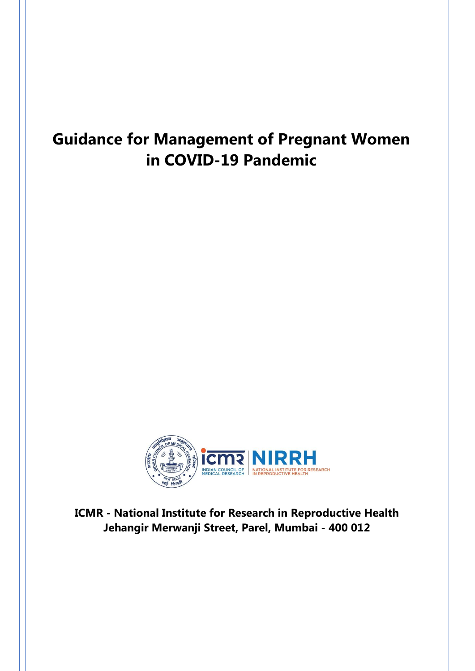# **Guidance for Management of Pregnant Women in COVID-19 Pandemic**



**ICMR - National Institute for Research in Reproductive Health Jehangir Merwanji Street, Parel, Mumbai - 400 012**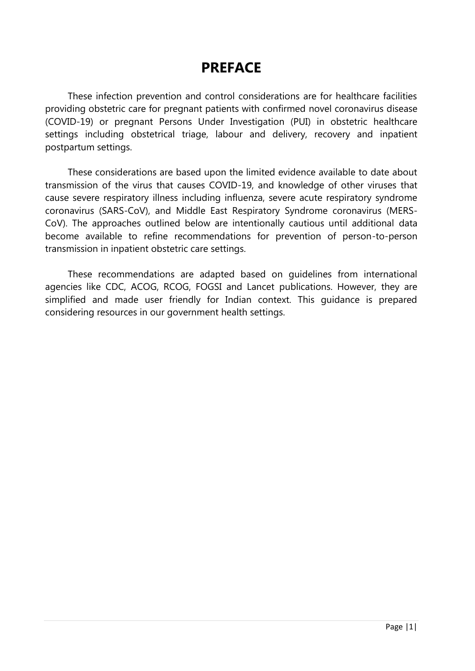## **PREFACE**

These infection prevention and control considerations are for healthcare facilities providing obstetric care for pregnant patients with confirmed novel coronavirus disease (COVID-19) or pregnant Persons Under Investigation (PUI) in obstetric healthcare settings including obstetrical triage, labour and delivery, recovery and inpatient postpartum settings.

These considerations are based upon the limited evidence available to date about transmission of the virus that causes COVID-19, and knowledge of other viruses that cause severe respiratory illness including influenza, severe acute respiratory syndrome coronavirus (SARS-CoV), and Middle East Respiratory Syndrome coronavirus (MERS-CoV). The approaches outlined below are intentionally cautious until additional data become available to refine recommendations for prevention of person-to-person transmission in inpatient obstetric care settings.

These recommendations are adapted based on guidelines from international agencies like CDC, ACOG, RCOG, FOGSI and Lancet publications. However, they are simplified and made user friendly for Indian context. This guidance is prepared considering resources in our government health settings.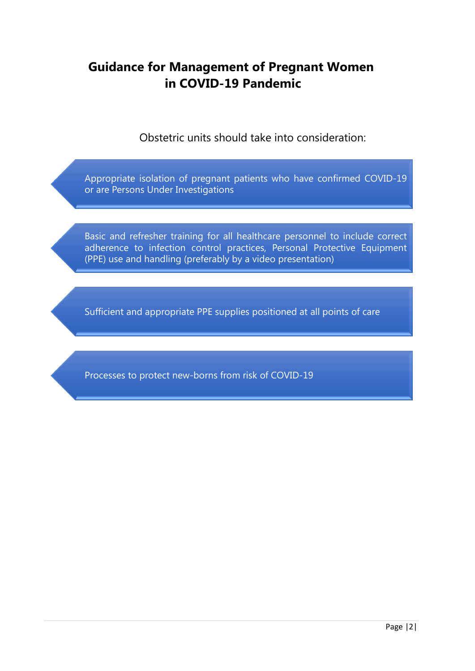### **Guidance for Management of Pregnant Women in COVID-19 Pandemic**

Obstetric units should take into consideration:

Appropriate isolation of pregnant patients who have confirmed COVID-19 or are Persons Under Investigations

Basic and refresher training for all healthcare personnel to include correct adherence to infection control practices, Personal Protective Equipment (PPE) use and handling (preferably by a video presentation)

Sufficient and appropriate PPE supplies positioned at all points of care

Processes to protect new-borns from risk of COVID-19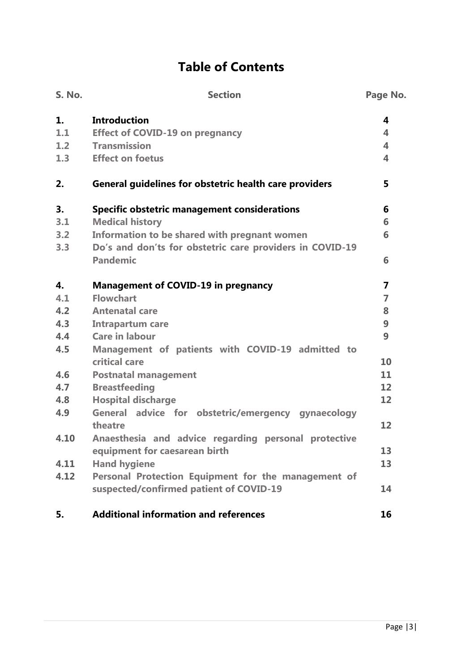# **Table of Contents**

| <b>S. No.</b> | <b>Section</b>                                                    | Page No.                |
|---------------|-------------------------------------------------------------------|-------------------------|
| 1.            | <b>Introduction</b>                                               | 4                       |
| 1.1           | <b>Effect of COVID-19 on pregnancy</b>                            | 4                       |
| 1.2           | <b>Transmission</b>                                               | $\overline{\mathbf{A}}$ |
| 1.3           | <b>Effect on foetus</b>                                           | 4                       |
| 2.            | General guidelines for obstetric health care providers            | 5                       |
| 3.            | <b>Specific obstetric management considerations</b>               | 6                       |
| 3.1           | <b>Medical history</b>                                            | 6                       |
| 3.2           | Information to be shared with pregnant women                      | 6                       |
| 3.3           | Do's and don'ts for obstetric care providers in COVID-19          |                         |
|               | <b>Pandemic</b>                                                   | 6                       |
| $\mathbf{4}$  | <b>Management of COVID-19 in pregnancy</b>                        | $\overline{7}$          |
| 4.1           | <b>Flowchart</b>                                                  | $\overline{7}$          |
| 4.2           | <b>Antenatal care</b>                                             | 8                       |
| 4.3           | <b>Intrapartum care</b>                                           | 9                       |
| 4.4           | <b>Care in labour</b>                                             | 9                       |
| 4.5           | Management of patients with COVID-19 admitted to<br>critical care | 10                      |
| 4.6           | <b>Postnatal management</b>                                       | 11                      |
| 4.7           | <b>Breastfeeding</b>                                              | 12                      |
| 4.8           | <b>Hospital discharge</b>                                         | 12                      |
| 4.9           | General advice for obstetric/emergency gynaecology                |                         |
|               | theatre                                                           | 12                      |
| 4.10          | Anaesthesia and advice regarding personal protective              |                         |
|               | equipment for caesarean birth                                     | 13                      |
| 4.11          | <b>Hand hygiene</b>                                               | 13                      |
| 4.12          | Personal Protection Equipment for the management of               |                         |
|               | suspected/confirmed patient of COVID-19                           | 14                      |
| 5.            | <b>Additional information and references</b>                      | 16                      |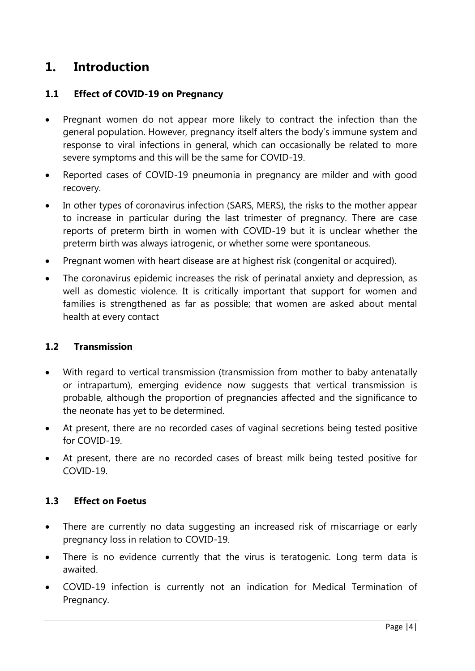### **1. Introduction**

#### **1.1 Effect of COVID-19 on Pregnancy**

- Pregnant women do not appear more likely to contract the infection than the general population. However, pregnancy itself alters the body's immune system and response to viral infections in general, which can occasionally be related to more severe symptoms and this will be the same for COVID-19.
- Reported cases of COVID-19 pneumonia in pregnancy are milder and with good recovery.
- In other types of coronavirus infection (SARS, MERS), the risks to the mother appear to increase in particular during the last trimester of pregnancy. There are case reports of preterm birth in women with COVID-19 but it is unclear whether the preterm birth was always iatrogenic, or whether some were spontaneous.
- Pregnant women with heart disease are at highest risk (congenital or acquired).
- The coronavirus epidemic increases the risk of perinatal anxiety and depression, as well as domestic violence. It is critically important that support for women and families is strengthened as far as possible; that women are asked about mental health at every contact

#### **1.2 Transmission**

- With regard to vertical transmission (transmission from mother to baby antenatally or intrapartum), emerging evidence now suggests that vertical transmission is probable, although the proportion of pregnancies affected and the significance to the neonate has yet to be determined.
- At present, there are no recorded cases of vaginal secretions being tested positive for COVID-19.
- At present, there are no recorded cases of breast milk being tested positive for COVID-19.

#### **1.3 Effect on Foetus**

- There are currently no data suggesting an increased risk of miscarriage or early pregnancy loss in relation to COVID-19.
- There is no evidence currently that the virus is teratogenic. Long term data is awaited.
- COVID-19 infection is currently not an indication for Medical Termination of Pregnancy.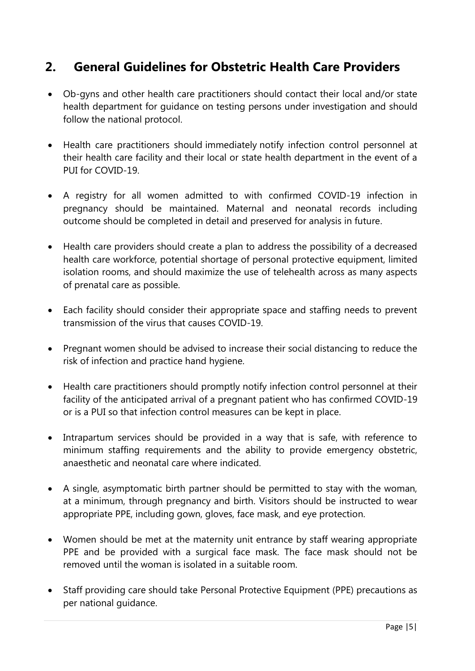### **2. General Guidelines for Obstetric Health Care Providers**

- Ob-gyns and other health care practitioners should contact their local and/or state health department for guidance on testing persons under investigation and should follow the national protocol.
- Health care practitioners should immediately notify infection control personnel at their health care facility and their local or state health department in the event of a PUI for COVID-19.
- A registry for all women admitted to with confirmed COVID-19 infection in pregnancy should be maintained. Maternal and neonatal records including outcome should be completed in detail and preserved for analysis in future.
- Health care providers should create a plan to address the possibility of a decreased health care workforce, potential shortage of personal protective equipment, limited isolation rooms, and should maximize the use of telehealth across as many aspects of prenatal care as possible.
- Each facility should consider their appropriate space and staffing needs to prevent transmission of the virus that causes COVID-19.
- Pregnant women should be advised to increase their social distancing to reduce the risk of infection and practice hand hygiene.
- Health care practitioners should promptly notify infection control personnel at their facility of the anticipated arrival of a pregnant patient who has confirmed COVID-19 or is a PUI so that infection control measures can be kept in place.
- Intrapartum services should be provided in a way that is safe, with reference to minimum staffing requirements and the ability to provide emergency obstetric, anaesthetic and neonatal care where indicated.
- A single, asymptomatic birth partner should be permitted to stay with the woman, at a minimum, through pregnancy and birth. Visitors should be instructed to wear appropriate PPE, including gown, gloves, face mask, and eye protection.
- Women should be met at the maternity unit entrance by staff wearing appropriate PPE and be provided with a surgical face mask. The face mask should not be removed until the woman is isolated in a suitable room.
- Staff providing care should take Personal Protective Equipment (PPE) precautions as per national guidance.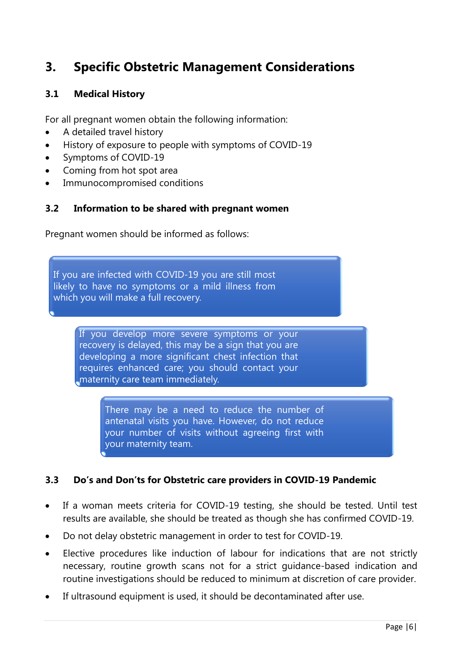### **3. Specific Obstetric Management Considerations**

#### **3.1 Medical History**

For all pregnant women obtain the following information:

- A detailed travel history
- History of exposure to people with symptoms of COVID-19
- Symptoms of COVID-19
- Coming from hot spot area
- Immunocompromised conditions

#### **3.2 Information to be shared with pregnant women**

Pregnant women should be informed as follows:

If you are infected with COVID-19 you are still most likely to have no symptoms or a mild illness from which you will make a full recovery.

> If you develop more severe symptoms or your recovery is delayed, this may be a sign that you are developing a more significant chest infection that requires enhanced care; you should contact your maternity care team immediately.

> > There may be a need to reduce the number of antenatal visits you have. However, do not reduce your number of visits without agreeing first with your maternity team.

#### **3.3 Do's and Don'ts for Obstetric care providers in COVID-19 Pandemic**

- If a woman meets criteria for COVID-19 testing, she should be tested. Until test results are available, she should be treated as though she has confirmed COVID-19.
- Do not delay obstetric management in order to test for COVID-19.
- Elective procedures like induction of labour for indications that are not strictly necessary, routine growth scans not for a strict guidance-based indication and routine investigations should be reduced to minimum at discretion of care provider.
- If ultrasound equipment is used, it should be decontaminated after use.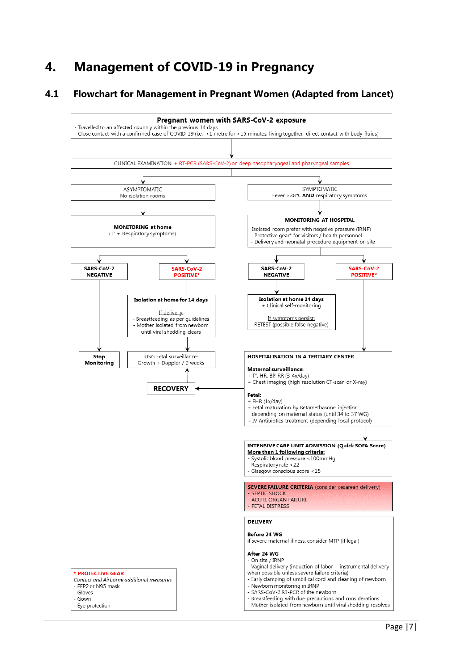### **4. Management of COVID-19 in Pregnancy**

#### **4.1 Flowchart for Management in Pregnant Women (Adapted from Lancet)**

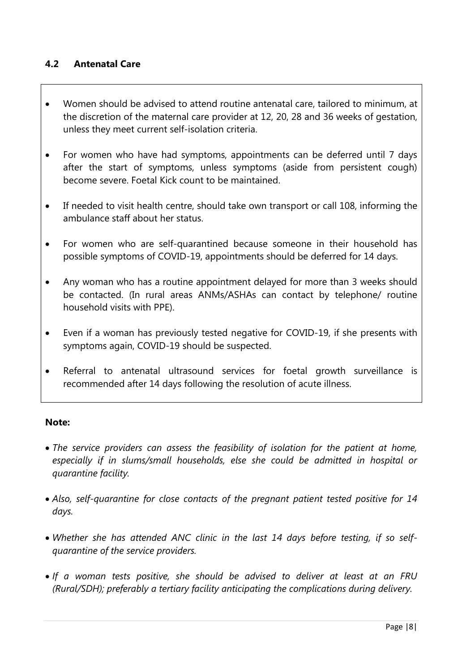#### **4.2 Antenatal Care**

- Women should be advised to attend routine antenatal care, tailored to minimum, at the discretion of the maternal care provider at 12, 20, 28 and 36 weeks of gestation, unless they meet current self-isolation criteria.
- For women who have had symptoms, appointments can be deferred until 7 days after the start of symptoms, unless symptoms (aside from persistent cough) become severe. Foetal Kick count to be maintained.
- If needed to visit health centre, should take own transport or call 108, informing the ambulance staff about her status.
- For women who are self-quarantined because someone in their household has possible symptoms of COVID-19, appointments should be deferred for 14 days.
- Any woman who has a routine appointment delayed for more than 3 weeks should be contacted. (In rural areas ANMs/ASHAs can contact by telephone/ routine household visits with PPE).
- Even if a woman has previously tested negative for COVID-19, if she presents with symptoms again, COVID-19 should be suspected.
- Referral to antenatal ultrasound services for foetal growth surveillance is recommended after 14 days following the resolution of acute illness.

#### **Note:**

- *The service providers can assess the feasibility of isolation for the patient at home, especially if in slums/small households, else she could be admitted in hospital or quarantine facility.*
- *Also, self-quarantine for close contacts of the pregnant patient tested positive for 14 days.*
- *Whether she has attended ANC clinic in the last 14 days before testing, if so selfquarantine of the service providers.*
- *If a woman tests positive, she should be advised to deliver at least at an FRU (Rural/SDH); preferably a tertiary facility anticipating the complications during delivery.*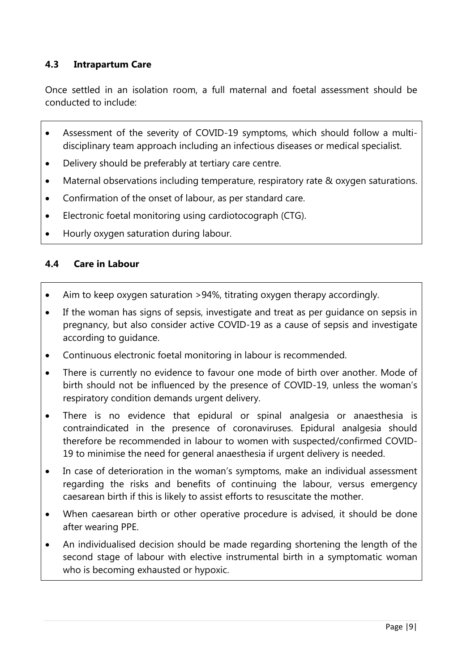#### **4.3 Intrapartum Care**

Once settled in an isolation room, a full maternal and foetal assessment should be conducted to include:

- Assessment of the severity of COVID-19 symptoms, which should follow a multidisciplinary team approach including an infectious diseases or medical specialist.
- Delivery should be preferably at tertiary care centre.
- Maternal observations including temperature, respiratory rate & oxygen saturations.
- Confirmation of the onset of labour, as per standard care.
- Electronic foetal monitoring using cardiotocograph (CTG).
- Hourly oxygen saturation during labour.

#### **4.4 Care in Labour**

- Aim to keep oxygen saturation >94%, titrating oxygen therapy accordingly.
- If the woman has signs of sepsis, investigate and treat as per guidance on sepsis in pregnancy, but also consider active COVID-19 as a cause of sepsis and investigate according to guidance.
- Continuous electronic foetal monitoring in labour is recommended.
- There is currently no evidence to favour one mode of birth over another. Mode of birth should not be influenced by the presence of COVID-19, unless the woman's respiratory condition demands urgent delivery.
- There is no evidence that epidural or spinal analgesia or anaesthesia is contraindicated in the presence of coronaviruses. Epidural analgesia should therefore be recommended in labour to women with suspected/confirmed COVID-19 to minimise the need for general anaesthesia if urgent delivery is needed.
- In case of deterioration in the woman's symptoms, make an individual assessment regarding the risks and benefits of continuing the labour, versus emergency caesarean birth if this is likely to assist efforts to resuscitate the mother.
- When caesarean birth or other operative procedure is advised, it should be done after wearing PPE.
- An individualised decision should be made regarding shortening the length of the second stage of labour with elective instrumental birth in a symptomatic woman who is becoming exhausted or hypoxic.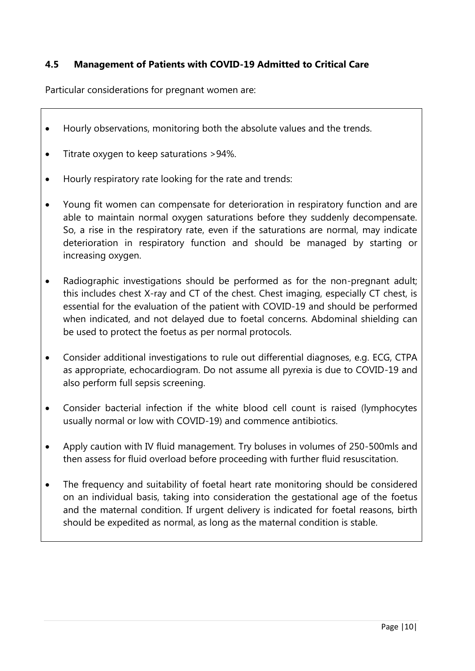#### **4.5 Management of Patients with COVID-19 Admitted to Critical Care**

Particular considerations for pregnant women are:

- Hourly observations, monitoring both the absolute values and the trends.
- Titrate oxygen to keep saturations > 94%.
- Hourly respiratory rate looking for the rate and trends:
- Young fit women can compensate for deterioration in respiratory function and are able to maintain normal oxygen saturations before they suddenly decompensate. So, a rise in the respiratory rate, even if the saturations are normal, may indicate deterioration in respiratory function and should be managed by starting or increasing oxygen.
- Radiographic investigations should be performed as for the non-pregnant adult; this includes chest X-ray and CT of the chest. Chest imaging, especially CT chest, is essential for the evaluation of the patient with COVID-19 and should be performed when indicated, and not delayed due to foetal concerns. Abdominal shielding can be used to protect the foetus as per normal protocols.
- Consider additional investigations to rule out differential diagnoses, e.g. ECG, CTPA as appropriate, echocardiogram. Do not assume all pyrexia is due to COVID-19 and also perform full sepsis screening.
- Consider bacterial infection if the white blood cell count is raised (lymphocytes usually normal or low with COVID-19) and commence antibiotics.
- Apply caution with IV fluid management. Try boluses in volumes of 250-500mls and then assess for fluid overload before proceeding with further fluid resuscitation.
- The frequency and suitability of foetal heart rate monitoring should be considered on an individual basis, taking into consideration the gestational age of the foetus and the maternal condition. If urgent delivery is indicated for foetal reasons, birth should be expedited as normal, as long as the maternal condition is stable.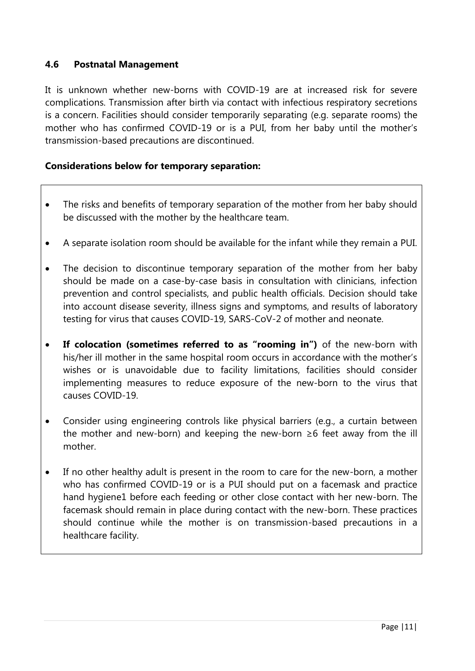#### **4.6 Postnatal Management**

It is unknown whether new-borns with COVID-19 are at increased risk for severe complications. Transmission after birth via contact with infectious respiratory secretions is a concern. Facilities should consider temporarily separating (e.g. separate rooms) the mother who has confirmed COVID-19 or is a PUI, from her baby until the mother's transmission-based precautions are discontinued.

#### **Considerations below for temporary separation:**

- The risks and benefits of temporary separation of the mother from her baby should be discussed with the mother by the healthcare team.
- A separate isolation room should be available for the infant while they remain a PUI.
- The decision to discontinue temporary separation of the mother from her baby should be made on a case-by-case basis in consultation with clinicians, infection prevention and control specialists, and public health officials. Decision should take into account disease severity, illness signs and symptoms, and results of laboratory testing for virus that causes COVID-19, SARS-CoV-2 of mother and neonate.
- **If colocation (sometimes referred to as "rooming in")** of the new-born with his/her ill mother in the same hospital room occurs in accordance with the mother's wishes or is unavoidable due to facility limitations, facilities should consider implementing measures to reduce exposure of the new-born to the virus that causes COVID-19.
- Consider using engineering controls like physical barriers (e.g., a curtain between the mother and new-born) and keeping the new-born ≥6 feet away from the ill mother.
- If no other healthy adult is present in the room to care for the new-born, a mother who has confirmed COVID-19 or is a PUI should put on a facemask and practice hand hygiene1 before each feeding or other close contact with her new-born. The facemask should remain in place during contact with the new-born. These practices should continue while the mother is on transmission-based precautions in a healthcare facility.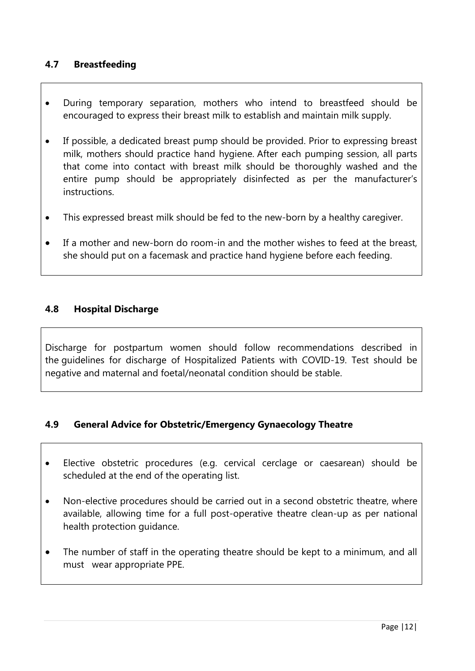#### **4.7 Breastfeeding**

- During temporary separation, mothers who intend to breastfeed should be encouraged to express their breast milk to establish and maintain milk supply.
- If possible, a dedicated breast pump should be provided. Prior to expressing breast milk, mothers should practice hand hygiene. After each pumping session, all parts that come into contact with breast milk should be thoroughly washed and the entire pump should be appropriately disinfected as per the manufacturer's instructions.
- This expressed breast milk should be fed to the new-born by a healthy caregiver.
- If a mother and new-born do room-in and the mother wishes to feed at the breast, she should put on a facemask and practice hand hygiene before each feeding.

#### **4.8 Hospital Discharge**

Discharge for postpartum women should follow recommendations described in the [guidelines for discharge of Hospitalized Patients with COVID-19.](https://www.cdc.gov/coronavirus/2019-ncov/hcp/disposition-hospitalized-patients.html) Test should be negative and maternal and foetal/neonatal condition should be stable.

#### **4.9 General Advice for Obstetric/Emergency Gynaecology Theatre**

- Elective obstetric procedures (e.g. cervical cerclage or caesarean) should be scheduled at the end of the operating list.
- Non-elective procedures should be carried out in a second obstetric theatre, where available, allowing time for a full post-operative theatre clean-up as per national health protection guidance.
- The number of staff in the operating theatre should be kept to a minimum, and all must wear appropriate PPE.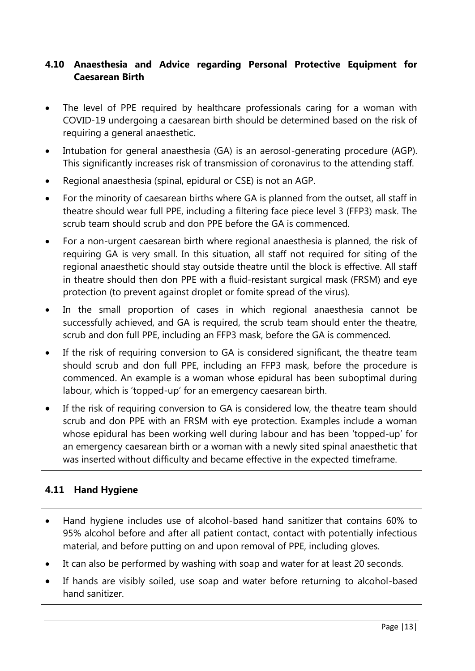#### **4.10 Anaesthesia and Advice regarding Personal Protective Equipment for Caesarean Birth**

- The level of PPE required by healthcare professionals caring for a woman with COVID-19 undergoing a caesarean birth should be determined based on the risk of requiring a general anaesthetic.
- Intubation for general anaesthesia (GA) is an aerosol-generating procedure (AGP). This significantly increases risk of transmission of coronavirus to the attending staff.
- Regional anaesthesia (spinal, epidural or CSE) is not an AGP.
- For the minority of caesarean births where GA is planned from the outset, all staff in theatre should wear full PPE, including a filtering face piece level 3 (FFP3) mask. The scrub team should scrub and don PPE before the GA is commenced.
- For a non-urgent caesarean birth where regional anaesthesia is planned, the risk of requiring GA is very small. In this situation, all staff not required for siting of the regional anaesthetic should stay outside theatre until the block is effective. All staff in theatre should then don PPE with a fluid-resistant surgical mask (FRSM) and eye protection (to prevent against droplet or fomite spread of the virus).
- In the small proportion of cases in which regional anaesthesia cannot be successfully achieved, and GA is required, the scrub team should enter the theatre, scrub and don full PPE, including an FFP3 mask, before the GA is commenced.
- If the risk of requiring conversion to GA is considered significant, the theatre team should scrub and don full PPE, including an FFP3 mask, before the procedure is commenced. An example is a woman whose epidural has been suboptimal during labour, which is 'topped-up' for an emergency caesarean birth.
- If the risk of requiring conversion to GA is considered low, the theatre team should scrub and don PPE with an FRSM with eye protection. Examples include a woman whose epidural has been working well during labour and has been 'topped-up' for an emergency caesarean birth or a woman with a newly sited spinal anaesthetic that was inserted without difficulty and became effective in the expected timeframe.

### **4.11 Hand Hygiene**

- Hand hygiene includes use of alcohol-based hand sanitizer that contains 60% to 95% alcohol before and after all patient contact, contact with potentially infectious material, and before putting on and upon removal of PPE, including gloves.
- It can also be performed by washing with soap and water for at least 20 seconds.
- If hands are visibly soiled, use soap and water before returning to alcohol-based hand sanitizer.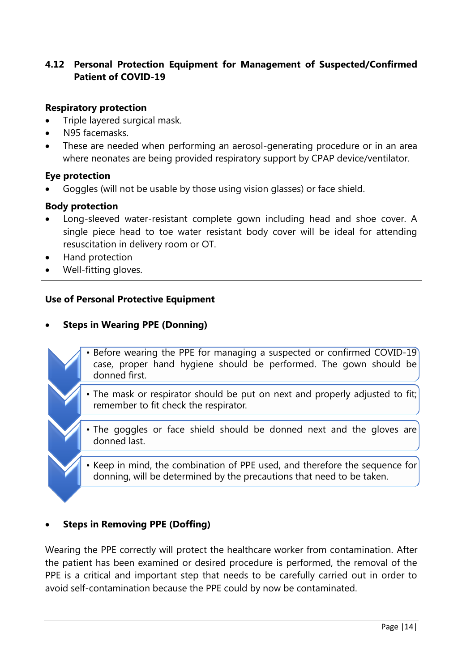#### **4.12 Personal Protection Equipment for Management of Suspected/Confirmed Patient of COVID-19**

#### **Respiratory protection**

- Triple layered surgical mask.
- N95 facemasks.
- These are needed when performing an aerosol-generating procedure or in an area where neonates are being provided respiratory support by CPAP device/ventilator.

#### **Eye protection**

Goggles (will not be usable by those using vision glasses) or face shield.

#### **Body protection**

- Long-sleeved water-resistant complete gown including head and shoe cover. A single piece head to toe water resistant body cover will be ideal for attending resuscitation in delivery room or OT.
- Hand protection
- Well-fitting gloves.

#### **Use of Personal Protective Equipment**

#### **Steps in Wearing PPE (Donning)**

- Before wearing the PPE for managing a suspected or confirmed COVID-19 case, proper hand hygiene should be performed. The gown should be donned first.
	- The mask or respirator should be put on next and properly adjusted to fit; remember to fit check the respirator.
- The goggles or face shield should be donned next and the gloves are donned last.
	- Keep in mind, the combination of PPE used, and therefore the sequence for donning, will be determined by the precautions that need to be taken.

#### **Steps in Removing PPE (Doffing)**

Wearing the PPE correctly will protect the healthcare worker from contamination. After the patient has been examined or desired procedure is performed, the removal of the PPE is a critical and important step that needs to be carefully carried out in order to avoid self-contamination because the PPE could by now be contaminated.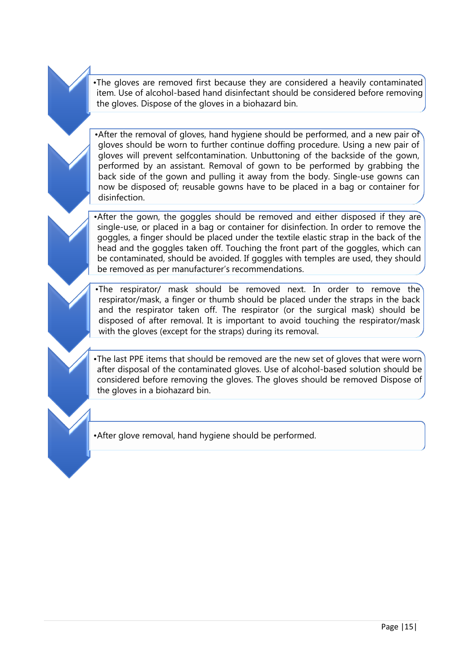•The gloves are removed first because they are considered a heavily contaminated item. Use of alcohol-based hand disinfectant should be considered before removing the gloves. Dispose of the gloves in a biohazard bin.

•After the removal of gloves, hand hygiene should be performed, and a new pair of gloves should be worn to further continue doffing procedure. Using a new pair of gloves will prevent selfcontamination. Unbuttoning of the backside of the gown, performed by an assistant. Removal of gown to be performed by grabbing the back side of the gown and pulling it away from the body. Single-use gowns can now be disposed of; reusable gowns have to be placed in a bag or container for disinfection.

•After the gown, the goggles should be removed and either disposed if they are single-use, or placed in a bag or container for disinfection. In order to remove the goggles, a finger should be placed under the textile elastic strap in the back of the head and the goggles taken off. Touching the front part of the goggles, which can be contaminated, should be avoided. If goggles with temples are used, they should be removed as per manufacturer's recommendations.

•The respirator/ mask should be removed next. In order to remove the respirator/mask, a finger or thumb should be placed under the straps in the back and the respirator taken off. The respirator (or the surgical mask) should be disposed of after removal. It is important to avoid touching the respirator/mask with the gloves (except for the straps) during its removal.

•The last PPE items that should be removed are the new set of gloves that were worn after disposal of the contaminated gloves. Use of alcohol-based solution should be considered before removing the gloves. The gloves should be removed Dispose of the gloves in a biohazard bin.

•After glove removal, hand hygiene should be performed.